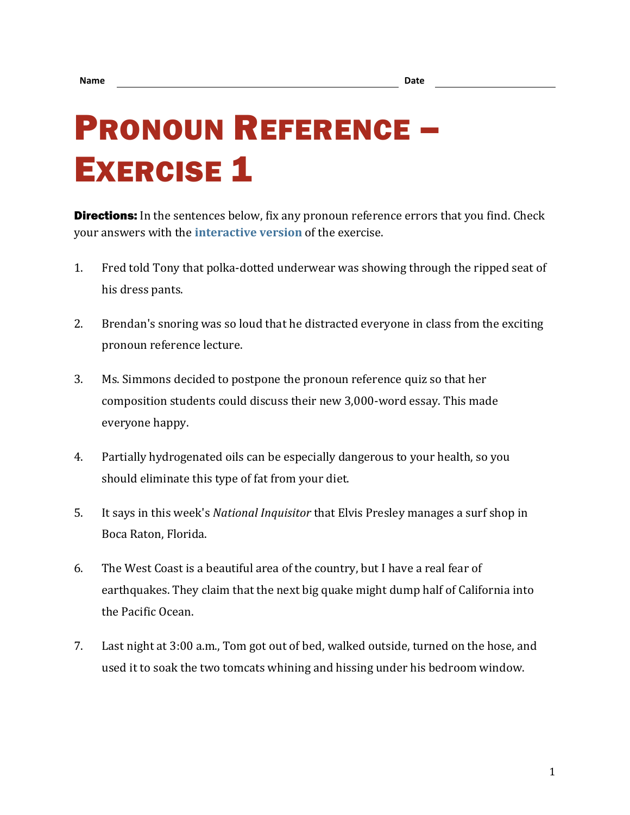## PRONOUN REFERENCE – **EXERCISE 1**

**Directions:** In the sentences below, fix any pronoun reference errors that you find. Check your answers with the **[interactive version](https://chompchomp.com/hotpotatoes/proref01.htm)** of the exercise.

- 1. Fred told Tony that polka-dotted underwear was showing through the ripped seat of his dress pants.
- 2. Brendan's snoring was so loud that he distracted everyone in class from the exciting pronoun reference lecture.
- 3. Ms. Simmons decided to postpone the pronoun reference quiz so that her composition students could discuss their new 3,000-word essay. This made everyone happy.
- 4. Partially hydrogenated oils can be especially dangerous to your health, so you should eliminate this type of fat from your diet.
- 5. It says in this week's *National Inquisitor* that Elvis Presley manages a surf shop in Boca Raton, Florida.
- 6. The West Coast is a beautiful area of the country, but I have a real fear of earthquakes. They claim that the next big quake might dump half of California into the Pacific Ocean.
- 7. Last night at 3:00 a.m., Tom got out of bed, walked outside, turned on the hose, and used it to soak the two tomcats whining and hissing under his bedroom window.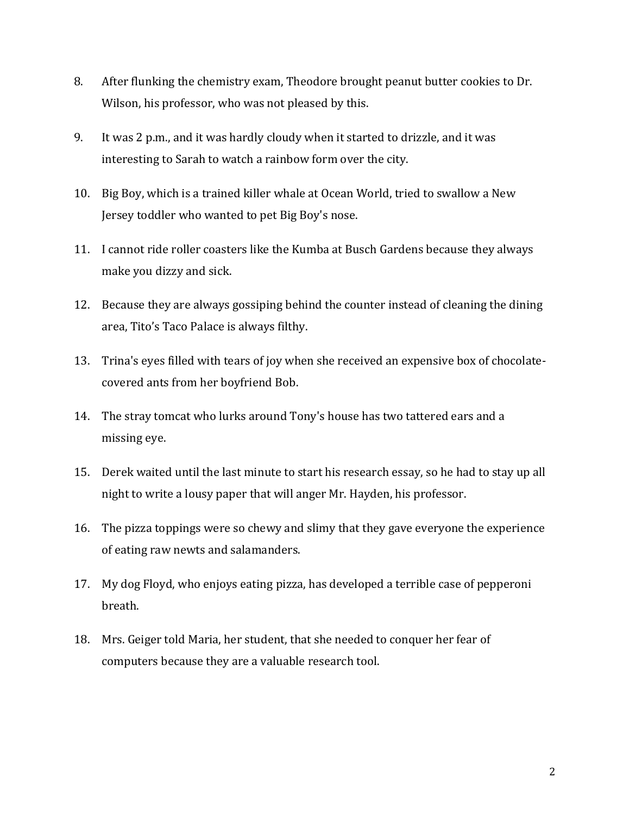- 8. After flunking the chemistry exam, Theodore brought peanut butter cookies to Dr. Wilson, his professor, who was not pleased by this.
- 9. It was 2 p.m., and it was hardly cloudy when it started to drizzle, and it was interesting to Sarah to watch a rainbow form over the city.
- 10. Big Boy, which is a trained killer whale at Ocean World, tried to swallow a New Jersey toddler who wanted to pet Big Boy's nose.
- 11. I cannot ride roller coasters like the Kumba at Busch Gardens because they always make you dizzy and sick.
- 12. Because they are always gossiping behind the counter instead of cleaning the dining area, Tito's Taco Palace is always filthy.
- 13. Trina's eyes filled with tears of joy when she received an expensive box of chocolatecovered ants from her boyfriend Bob.
- 14. The stray tomcat who lurks around Tony's house has two tattered ears and a missing eye.
- 15. Derek waited until the last minute to start his research essay, so he had to stay up all night to write a lousy paper that will anger Mr. Hayden, his professor.
- 16. The pizza toppings were so chewy and slimy that they gave everyone the experience of eating raw newts and salamanders.
- 17. My dog Floyd, who enjoys eating pizza, has developed a terrible case of pepperoni breath.
- 18. Mrs. Geiger told Maria, her student, that she needed to conquer her fear of computers because they are a valuable research tool.